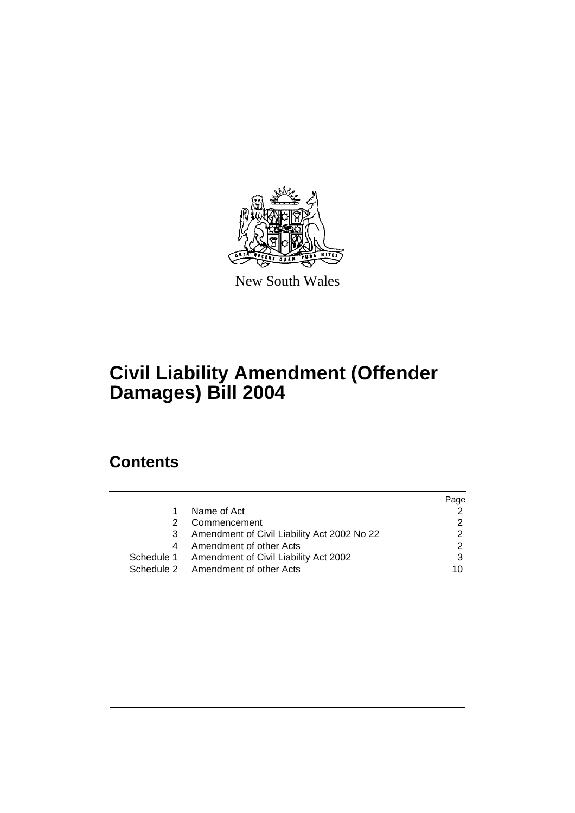

New South Wales

# **Civil Liability Amendment (Offender Damages) Bill 2004**

# **Contents**

|    |                                                  | Page |
|----|--------------------------------------------------|------|
| 1. | Name of Act                                      |      |
| 2  | Commencement                                     |      |
| 3  | Amendment of Civil Liability Act 2002 No 22      | າ    |
|    | 4 Amendment of other Acts                        | າ    |
|    | Schedule 1 Amendment of Civil Liability Act 2002 | 3    |
|    | Schedule 2 Amendment of other Acts               | 10   |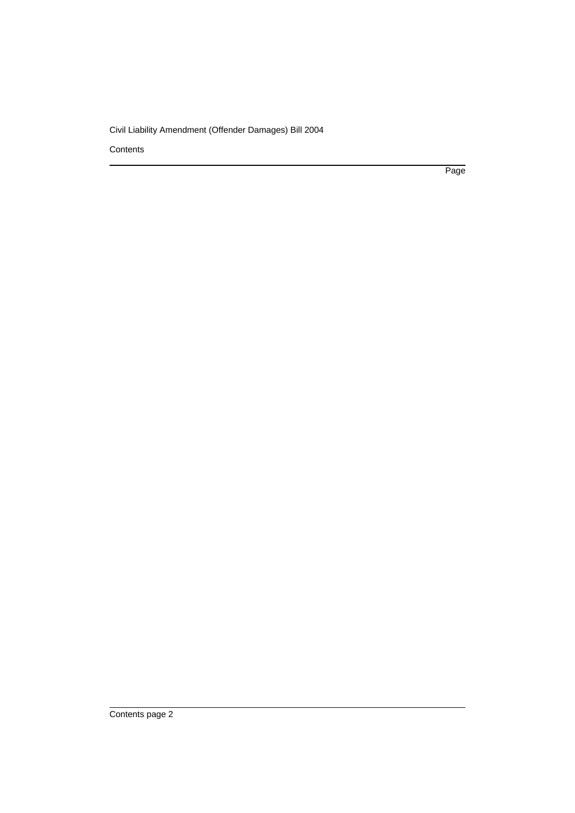**Contents** 

Page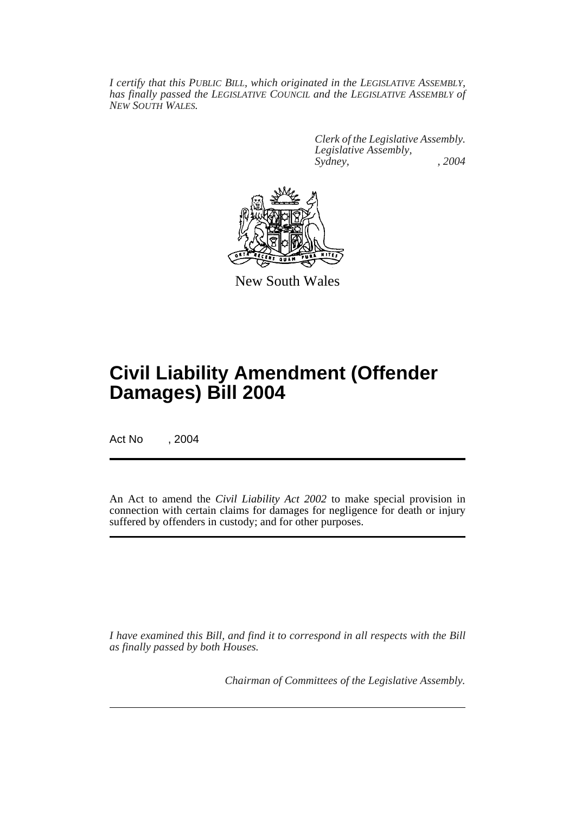*I certify that this PUBLIC BILL, which originated in the LEGISLATIVE ASSEMBLY, has finally passed the LEGISLATIVE COUNCIL and the LEGISLATIVE ASSEMBLY of NEW SOUTH WALES.*

> *Clerk of the Legislative Assembly. Legislative Assembly, Sydney, , 2004*



New South Wales

# **Civil Liability Amendment (Offender Damages) Bill 2004**

Act No , 2004

An Act to amend the *Civil Liability Act 2002* to make special provision in connection with certain claims for damages for negligence for death or injury suffered by offenders in custody; and for other purposes.

*I have examined this Bill, and find it to correspond in all respects with the Bill as finally passed by both Houses.*

*Chairman of Committees of the Legislative Assembly.*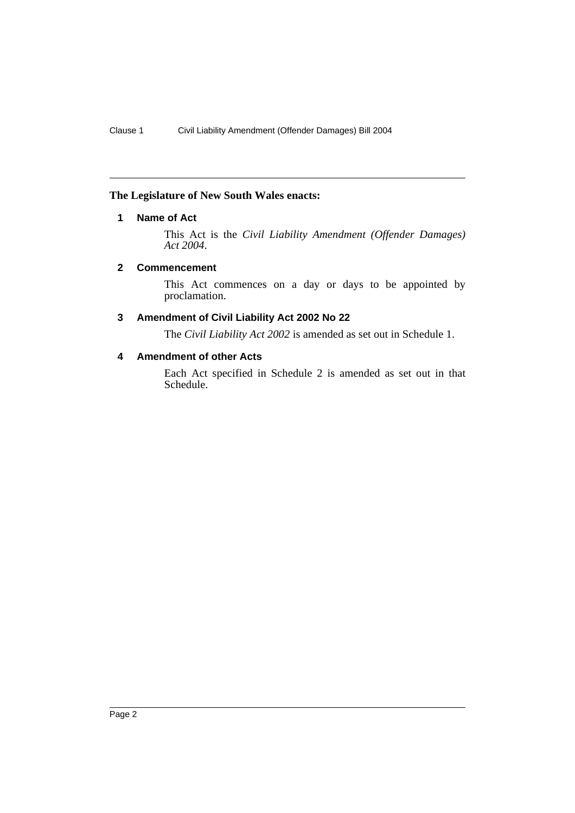## **The Legislature of New South Wales enacts:**

## **1 Name of Act**

This Act is the *Civil Liability Amendment (Offender Damages) Act 2004*.

#### **2 Commencement**

This Act commences on a day or days to be appointed by proclamation.

#### **3 Amendment of Civil Liability Act 2002 No 22**

The *Civil Liability Act 2002* is amended as set out in Schedule 1.

#### **4 Amendment of other Acts**

Each Act specified in Schedule 2 is amended as set out in that Schedule.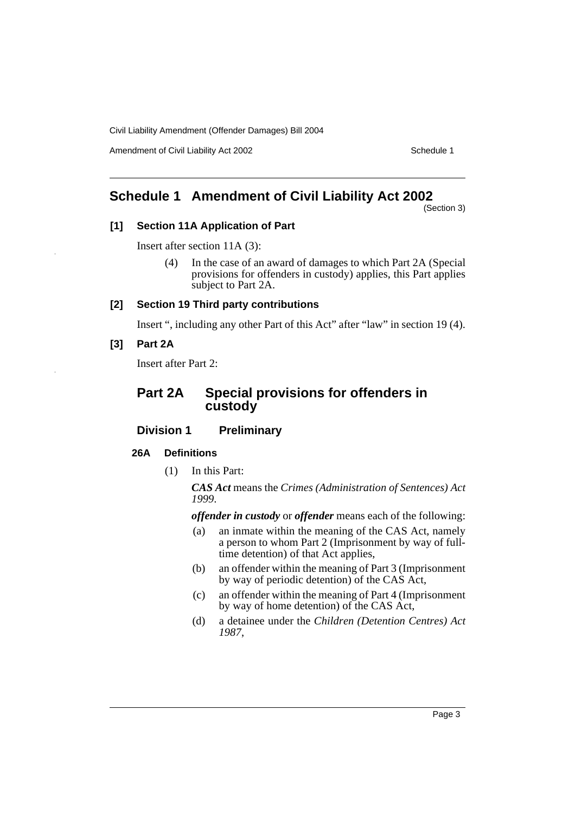Amendment of Civil Liability Act 2002 Schedule 1

# **Schedule 1 Amendment of Civil Liability Act 2002**

(Section 3)

## **[1] Section 11A Application of Part**

Insert after section 11A (3):

(4) In the case of an award of damages to which Part 2A (Special provisions for offenders in custody) applies, this Part applies subject to Part 2A.

#### **[2] Section 19 Third party contributions**

Insert ", including any other Part of this Act" after "law" in section 19 (4).

**[3] Part 2A**

Insert after Part 2:

# **Part 2A Special provisions for offenders in custody**

## **Division 1 Preliminary**

## **26A Definitions**

(1) In this Part:

*CAS Act* means the *Crimes (Administration of Sentences) Act 1999*.

*offender in custody* or *offender* means each of the following:

- (a) an inmate within the meaning of the CAS Act, namely a person to whom Part 2 (Imprisonment by way of fulltime detention) of that Act applies,
- (b) an offender within the meaning of Part 3 (Imprisonment by way of periodic detention) of the CAS Act,
- (c) an offender within the meaning of Part 4 (Imprisonment by way of home detention) of the CAS Act,
- (d) a detainee under the *Children (Detention Centres) Act 1987*,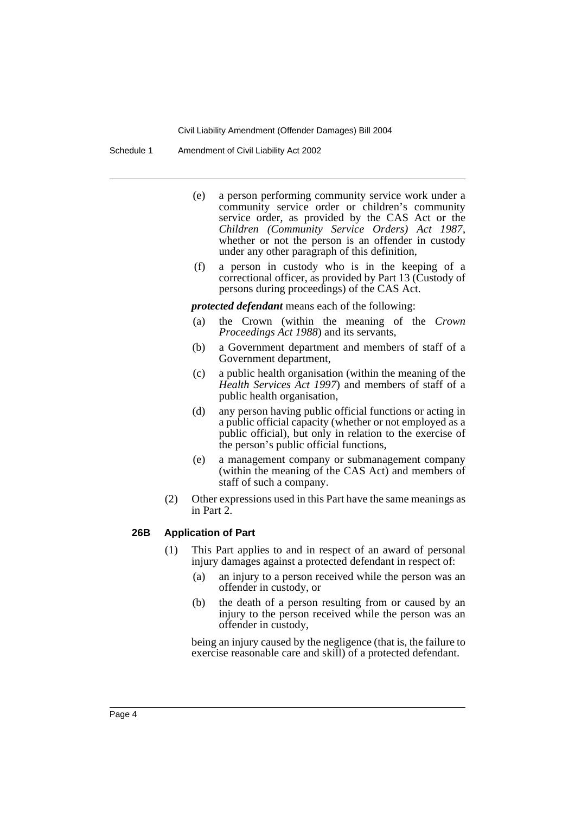Schedule 1 Amendment of Civil Liability Act 2002

- (e) a person performing community service work under a community service order or children's community service order, as provided by the CAS Act or the *Children (Community Service Orders) Act 1987*, whether or not the person is an offender in custody under any other paragraph of this definition,
- (f) a person in custody who is in the keeping of a correctional officer, as provided by Part 13 (Custody of persons during proceedings) of the CAS Act.

*protected defendant* means each of the following:

- (a) the Crown (within the meaning of the *Crown Proceedings Act 1988*) and its servants,
- (b) a Government department and members of staff of a Government department,
- (c) a public health organisation (within the meaning of the *Health Services Act 1997*) and members of staff of a public health organisation,
- (d) any person having public official functions or acting in a public official capacity (whether or not employed as a public official), but only in relation to the exercise of the person's public official functions,
- (e) a management company or submanagement company (within the meaning of the CAS Act) and members of staff of such a company.
- (2) Other expressions used in this Part have the same meanings as in Part 2.

## **26B Application of Part**

- (1) This Part applies to and in respect of an award of personal injury damages against a protected defendant in respect of:
	- (a) an injury to a person received while the person was an offender in custody, or
	- (b) the death of a person resulting from or caused by an injury to the person received while the person was an offender in custody,

being an injury caused by the negligence (that is, the failure to exercise reasonable care and skill) of a protected defendant.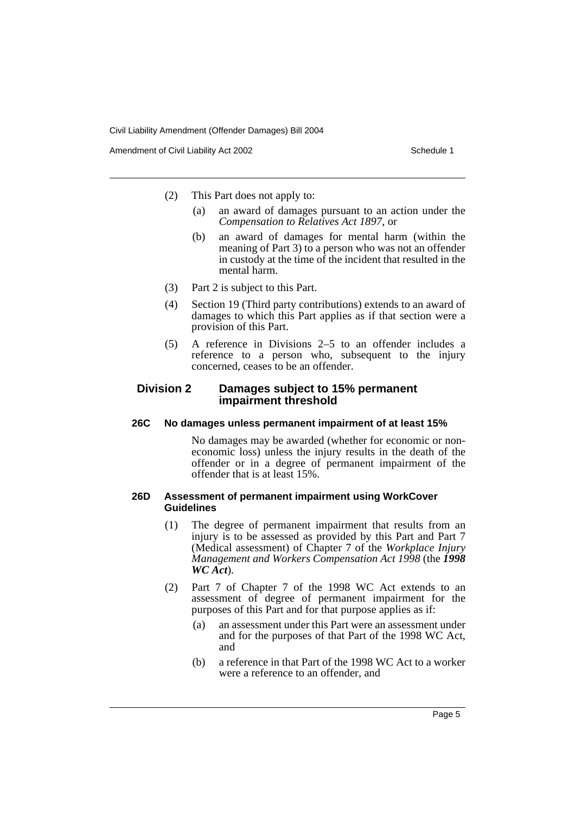Amendment of Civil Liability Act 2002 Schedule 1

- (2) This Part does not apply to:
	- (a) an award of damages pursuant to an action under the *Compensation to Relatives Act 1897*, or
	- (b) an award of damages for mental harm (within the meaning of Part 3) to a person who was not an offender in custody at the time of the incident that resulted in the mental harm.
- (3) Part 2 is subject to this Part.
- (4) Section 19 (Third party contributions) extends to an award of damages to which this Part applies as if that section were a provision of this Part.
- (5) A reference in Divisions 2–5 to an offender includes a reference to a person who, subsequent to the injury concerned, ceases to be an offender.

## **Division 2 Damages subject to 15% permanent impairment threshold**

### **26C No damages unless permanent impairment of at least 15%**

No damages may be awarded (whether for economic or noneconomic loss) unless the injury results in the death of the offender or in a degree of permanent impairment of the offender that is at least 15%.

#### **26D Assessment of permanent impairment using WorkCover Guidelines**

- (1) The degree of permanent impairment that results from an injury is to be assessed as provided by this Part and Part 7 (Medical assessment) of Chapter 7 of the *Workplace Injury Management and Workers Compensation Act 1998* (the *1998 WC Act*).
- (2) Part 7 of Chapter 7 of the 1998 WC Act extends to an assessment of degree of permanent impairment for the purposes of this Part and for that purpose applies as if:
	- (a) an assessment under this Part were an assessment under and for the purposes of that Part of the 1998 WC Act, and
	- (b) a reference in that Part of the 1998 WC Act to a worker were a reference to an offender, and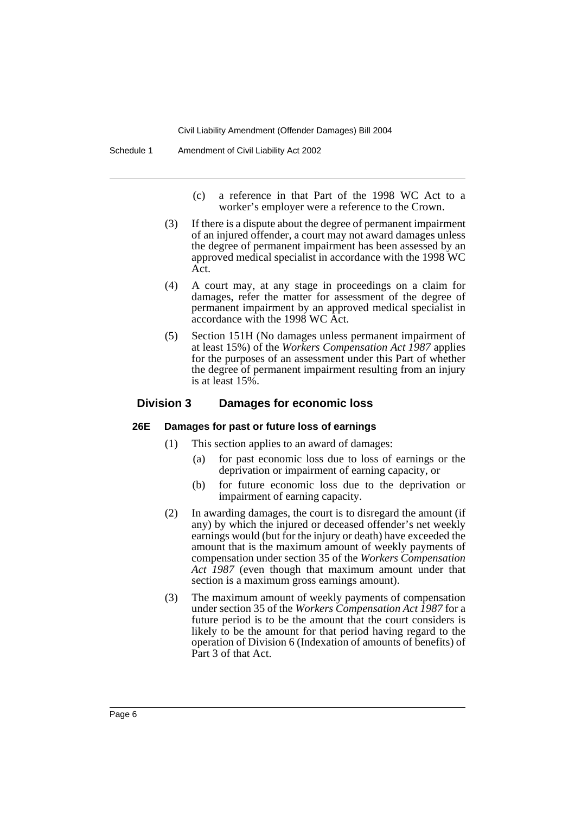(c) a reference in that Part of the 1998 WC Act to a worker's employer were a reference to the Crown.

- (3) If there is a dispute about the degree of permanent impairment of an injured offender, a court may not award damages unless the degree of permanent impairment has been assessed by an approved medical specialist in accordance with the 1998 WC Act.
- (4) A court may, at any stage in proceedings on a claim for damages, refer the matter for assessment of the degree of permanent impairment by an approved medical specialist in accordance with the 1998 WC Act.
- (5) Section 151H (No damages unless permanent impairment of at least 15%) of the *Workers Compensation Act 1987* applies for the purposes of an assessment under this Part of whether the degree of permanent impairment resulting from an injury is at least 15%.

#### **Division 3 Damages for economic loss**

#### **26E Damages for past or future loss of earnings**

- (1) This section applies to an award of damages:
	- (a) for past economic loss due to loss of earnings or the deprivation or impairment of earning capacity, or
	- (b) for future economic loss due to the deprivation or impairment of earning capacity.
- (2) In awarding damages, the court is to disregard the amount (if any) by which the injured or deceased offender's net weekly earnings would (but for the injury or death) have exceeded the amount that is the maximum amount of weekly payments of compensation under section 35 of the *Workers Compensation Act 1987* (even though that maximum amount under that section is a maximum gross earnings amount).
- (3) The maximum amount of weekly payments of compensation under section 35 of the *Workers Compensation Act 1987* for a future period is to be the amount that the court considers is likely to be the amount for that period having regard to the operation of Division 6 (Indexation of amounts of benefits) of Part 3 of that Act.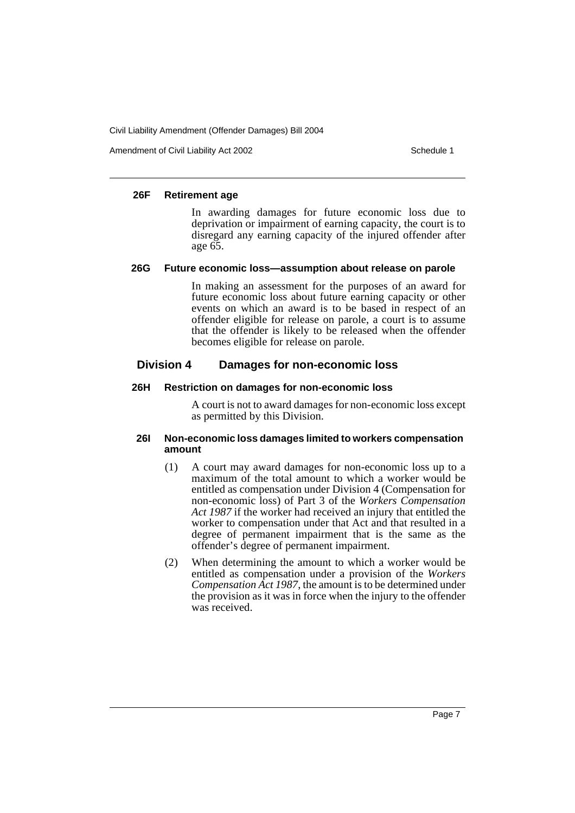Amendment of Civil Liability Act 2002 Schedule 1

#### **26F Retirement age**

In awarding damages for future economic loss due to deprivation or impairment of earning capacity, the court is to disregard any earning capacity of the injured offender after age 65.

#### **26G Future economic loss—assumption about release on parole**

In making an assessment for the purposes of an award for future economic loss about future earning capacity or other events on which an award is to be based in respect of an offender eligible for release on parole, a court is to assume that the offender is likely to be released when the offender becomes eligible for release on parole.

#### **Division 4 Damages for non-economic loss**

#### **26H Restriction on damages for non-economic loss**

A court is not to award damages for non-economic loss except as permitted by this Division.

#### **26I Non-economic loss damages limited to workers compensation amount**

- (1) A court may award damages for non-economic loss up to a maximum of the total amount to which a worker would be entitled as compensation under Division 4 (Compensation for non-economic loss) of Part 3 of the *Workers Compensation Act 1987* if the worker had received an injury that entitled the worker to compensation under that Act and that resulted in a degree of permanent impairment that is the same as the offender's degree of permanent impairment.
- (2) When determining the amount to which a worker would be entitled as compensation under a provision of the *Workers Compensation Act 1987*, the amount is to be determined under the provision as it was in force when the injury to the offender was received.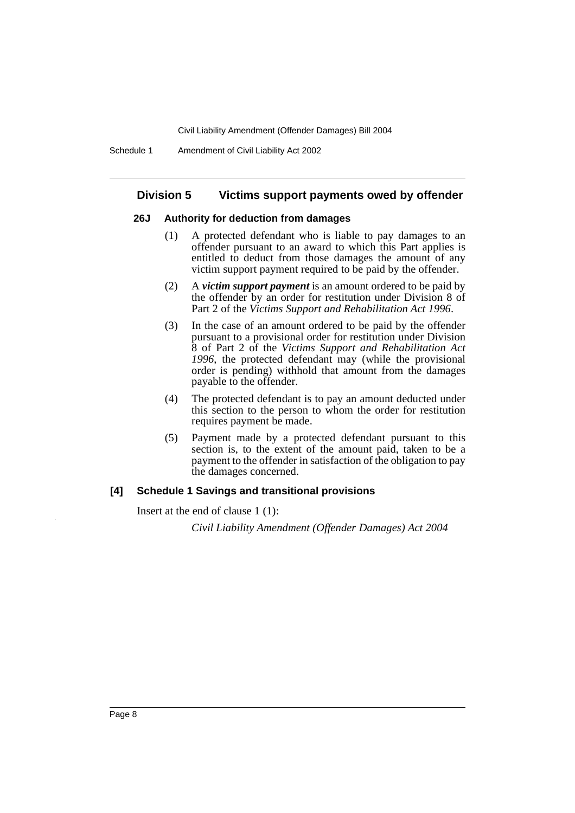#### **Division 5 Victims support payments owed by offender**

#### **26J Authority for deduction from damages**

- (1) A protected defendant who is liable to pay damages to an offender pursuant to an award to which this Part applies is entitled to deduct from those damages the amount of any victim support payment required to be paid by the offender.
- (2) A *victim support payment* is an amount ordered to be paid by the offender by an order for restitution under Division 8 of Part 2 of the *Victims Support and Rehabilitation Act 1996*.
- (3) In the case of an amount ordered to be paid by the offender pursuant to a provisional order for restitution under Division 8 of Part 2 of the *Victims Support and Rehabilitation Act 1996*, the protected defendant may (while the provisional order is pending) withhold that amount from the damages payable to the offender.
- (4) The protected defendant is to pay an amount deducted under this section to the person to whom the order for restitution requires payment be made.
- (5) Payment made by a protected defendant pursuant to this section is, to the extent of the amount paid, taken to be a payment to the offender in satisfaction of the obligation to pay the damages concerned.

#### **[4] Schedule 1 Savings and transitional provisions**

Insert at the end of clause 1 (1):

*Civil Liability Amendment (Offender Damages) Act 2004*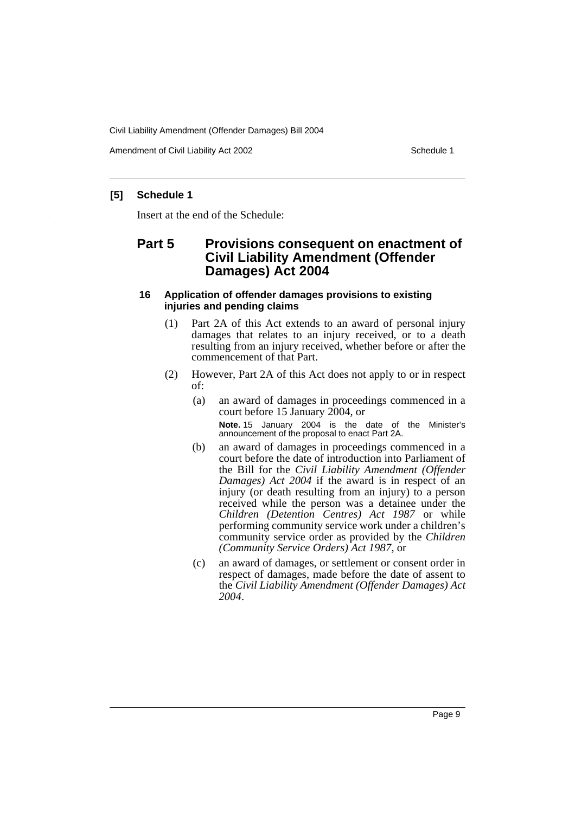Amendment of Civil Liability Act 2002 Schedule 1

## **[5] Schedule 1**

Insert at the end of the Schedule:

# **Part 5 Provisions consequent on enactment of Civil Liability Amendment (Offender Damages) Act 2004**

#### **16 Application of offender damages provisions to existing injuries and pending claims**

- (1) Part 2A of this Act extends to an award of personal injury damages that relates to an injury received, or to a death resulting from an injury received, whether before or after the commencement of that Part.
- (2) However, Part 2A of this Act does not apply to or in respect of:
	- (a) an award of damages in proceedings commenced in a court before 15 January 2004, or **Note.** 15 January 2004 is the date of the Minister's announcement of the proposal to enact Part 2A.
	- (b) an award of damages in proceedings commenced in a court before the date of introduction into Parliament of the Bill for the *Civil Liability Amendment (Offender Damages) Act 2004* if the award is in respect of an injury (or death resulting from an injury) to a person received while the person was a detainee under the *Children (Detention Centres) Act 1987* or while performing community service work under a children's community service order as provided by the *Children (Community Service Orders) Act 1987*, or
	- (c) an award of damages, or settlement or consent order in respect of damages, made before the date of assent to the *Civil Liability Amendment (Offender Damages) Act 2004*.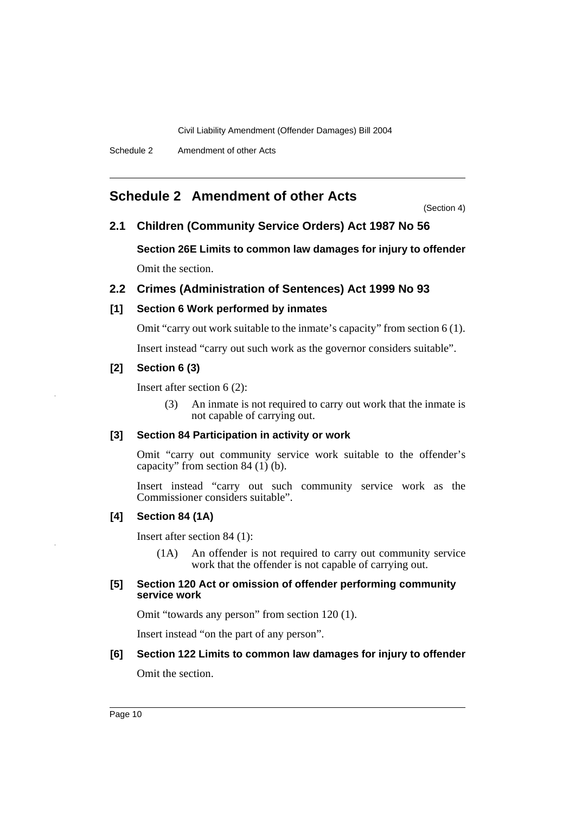# **Schedule 2 Amendment of other Acts**

(Section 4)

## **2.1 Children (Community Service Orders) Act 1987 No 56**

**Section 26E Limits to common law damages for injury to offender** Omit the section.

## **2.2 Crimes (Administration of Sentences) Act 1999 No 93**

## **[1] Section 6 Work performed by inmates**

Omit "carry out work suitable to the inmate's capacity" from section 6 (1).

Insert instead "carry out such work as the governor considers suitable".

## **[2] Section 6 (3)**

Insert after section 6 (2):

(3) An inmate is not required to carry out work that the inmate is not capable of carrying out.

#### **[3] Section 84 Participation in activity or work**

Omit "carry out community service work suitable to the offender's capacity" from section 84 (1) (b).

Insert instead "carry out such community service work as the Commissioner considers suitable".

### **[4] Section 84 (1A)**

Insert after section 84 (1):

(1A) An offender is not required to carry out community service work that the offender is not capable of carrying out.

#### **[5] Section 120 Act or omission of offender performing community service work**

Omit "towards any person" from section 120 (1).

Insert instead "on the part of any person".

# **[6] Section 122 Limits to common law damages for injury to offender**

Omit the section.